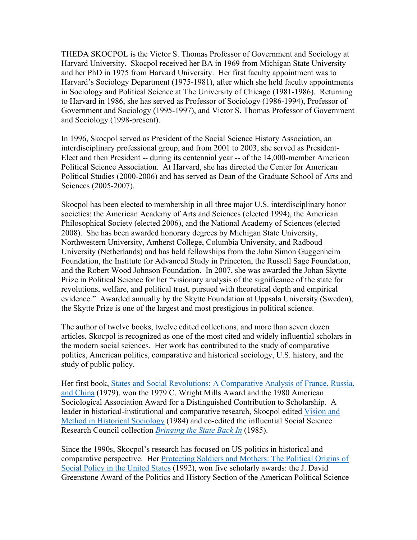THEDA SKOCPOL is the Victor S. Thomas Professor of Government and Sociology at Harvard University. Skocpol received her BA in 1969 from Michigan State University and her PhD in 1975 from Harvard University. Her first faculty appointment was to Harvard's Sociology Department (1975-1981), after which she held faculty appointments in Sociology and Political Science at The University of Chicago (1981-1986). Returning to Harvard in 1986, she has served as Professor of Sociology (1986-1994), Professor of Government and Sociology (1995-1997), and Victor S. Thomas Professor of Government and Sociology (1998-present).

In 1996, Skocpol served as President of the Social Science History Association, an interdisciplinary professional group, and from 2001 to 2003, she served as President-Elect and then President -- during its centennial year -- of the 14,000-member American Political Science Association. At Harvard, she has directed the Center for American Political Studies (2000-2006) and has served as Dean of the Graduate School of Arts and Sciences (2005-2007).

Skocpol has been elected to membership in all three major U.S. interdisciplinary honor societies: the American Academy of Arts and Sciences (elected 1994), the American Philosophical Society (elected 2006), and the National Academy of Sciences (elected 2008). She has been awarded honorary degrees by Michigan State University, Northwestern University, Amherst College, Columbia University, and Radboud University (Netherlands) and has held fellowships from the John Simon Guggenheim Foundation, the Institute for Advanced Study in Princeton, the Russell Sage Foundation, and the Robert Wood Johnson Foundation. In 2007, she was awarded the Johan Skytte Prize in Political Science for her "visionary analysis of the significance of the state for revolutions, welfare, and political trust, pursued with theoretical depth and empirical evidence." Awarded annually by the Skytte Foundation at Uppsala University (Sweden), the Skytte Prize is one of the largest and most prestigious in political science.

The author of twelve books, twelve edited collections, and more than seven dozen articles, Skocpol is recognized as one of the most cited and widely influential scholars in the modern social sciences. Her work has contributed to the study of comparative politics, American politics, comparative and historical sociology, U.S. history, and the study of public policy.

Her first book, [States and Social Revolutions: A Comparative Analysis of France, Russia,](https://doi.org/10.1017/CBO9780511815805)  [and China](https://doi.org/10.1017/CBO9780511815805) (1979), won the 1979 C. Wright Mills Award and the 1980 American Sociological Association Award for a Distinguished Contribution to Scholarship. A leader in historical-institutional and comparative research, Skocpol edited [Vision and](https://doi.org/10.1017/CBO9780511621567)  [Method in Historical Sociology](https://doi.org/10.1017/CBO9780511621567) (1984) and co-edited the influential Social Science Research Council collection *[Bringing the State Back In](https://doi.org/10.1017/CBO9780511628283)* (1985).

Since the 1990s, Skocpol's research has focused on US politics in historical and comparative perspective. Her [Protecting Soldiers and Mothers: The Political Origins of](https://www.hup.harvard.edu/catalog.php?isbn=9780674717664)  [Social Policy in the United States](https://www.hup.harvard.edu/catalog.php?isbn=9780674717664) (1992), won five scholarly awards: the J. David Greenstone Award of the Politics and History Section of the American Political Science